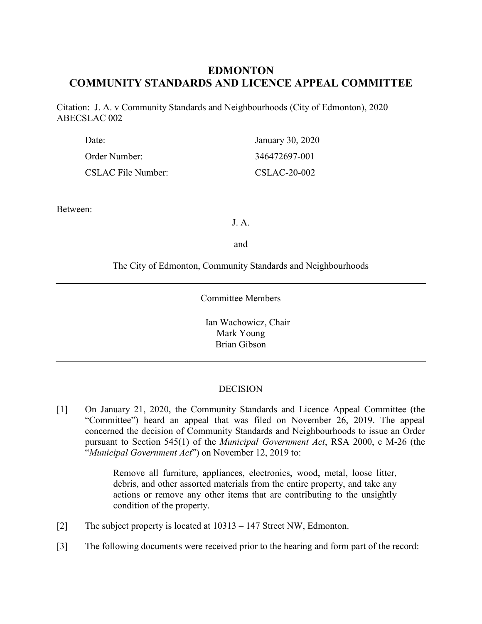# **EDMONTON COMMUNITY STANDARDS AND LICENCE APPEAL COMMITTEE**

Citation: J. A. v Community Standards and Neighbourhoods (City of Edmonton), 2020 ABECSLAC 002

| Date:              | January 30, 2020 |
|--------------------|------------------|
| Order Number:      | 346472697-001    |
| CSLAC File Number: | CSLAC-20-002     |

Between:

J. A.

and

The City of Edmonton, Community Standards and Neighbourhoods

Committee Members

Ian Wachowicz, Chair Mark Young Brian Gibson

## **DECISION**

[1] On January 21, 2020, the Community Standards and Licence Appeal Committee (the "Committee") heard an appeal that was filed on November 26, 2019. The appeal concerned the decision of Community Standards and Neighbourhoods to issue an Order pursuant to Section 545(1) of the *Municipal Government Act*, RSA 2000, c M-26 (the "*Municipal Government Act*") on November 12, 2019 to:

> Remove all furniture, appliances, electronics, wood, metal, loose litter, debris, and other assorted materials from the entire property, and take any actions or remove any other items that are contributing to the unsightly condition of the property.

- [2] The subject property is located at 10313 147 Street NW, Edmonton.
- [3] The following documents were received prior to the hearing and form part of the record: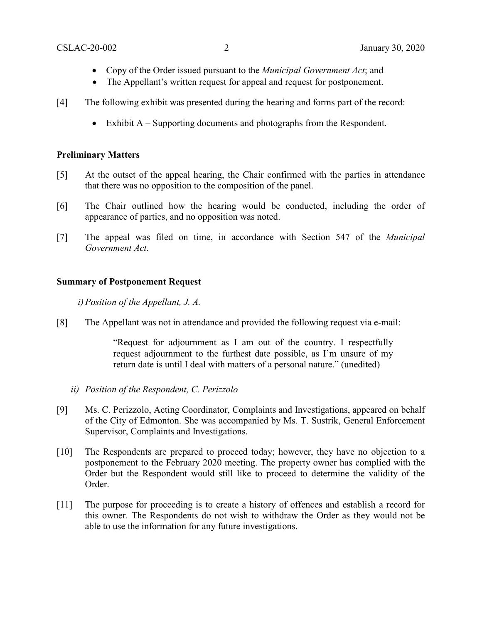- Copy of the Order issued pursuant to the *Municipal Government Act*; and
- The Appellant's written request for appeal and request for postponement.
- [4] The following exhibit was presented during the hearing and forms part of the record:
	- Exhibit A Supporting documents and photographs from the Respondent.

## **Preliminary Matters**

- [5] At the outset of the appeal hearing, the Chair confirmed with the parties in attendance that there was no opposition to the composition of the panel.
- [6] The Chair outlined how the hearing would be conducted, including the order of appearance of parties, and no opposition was noted.
- [7] The appeal was filed on time, in accordance with Section 547 of the *Municipal Government Act*.

## **Summary of Postponement Request**

*i)Position of the Appellant, J. A.*

[8] The Appellant was not in attendance and provided the following request via e-mail:

"Request for adjournment as I am out of the country. I respectfully request adjournment to the furthest date possible, as I'm unsure of my return date is until I deal with matters of a personal nature." (unedited)

- *ii) Position of the Respondent, C. Perizzolo*
- [9] Ms. C. Perizzolo, Acting Coordinator, Complaints and Investigations, appeared on behalf of the City of Edmonton. She was accompanied by Ms. T. Sustrik, General Enforcement Supervisor, Complaints and Investigations.
- [10] The Respondents are prepared to proceed today; however, they have no objection to a postponement to the February 2020 meeting. The property owner has complied with the Order but the Respondent would still like to proceed to determine the validity of the Order.
- [11] The purpose for proceeding is to create a history of offences and establish a record for this owner. The Respondents do not wish to withdraw the Order as they would not be able to use the information for any future investigations.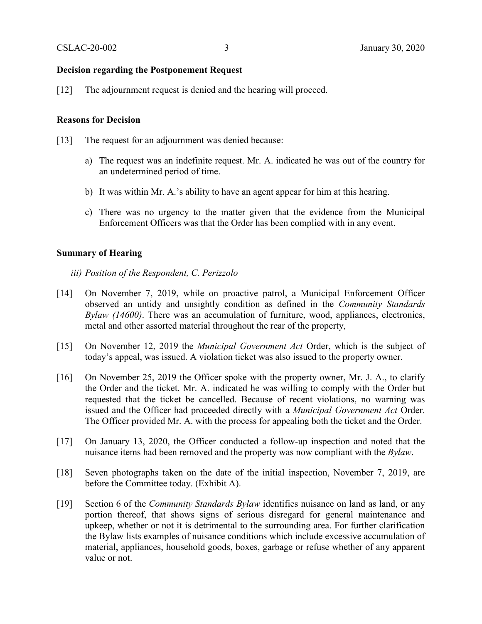## **Decision regarding the Postponement Request**

[12] The adjournment request is denied and the hearing will proceed.

#### **Reasons for Decision**

- [13] The request for an adjournment was denied because:
	- a) The request was an indefinite request. Mr. A. indicated he was out of the country for an undetermined period of time.
	- b) It was within Mr. A.'s ability to have an agent appear for him at this hearing.
	- c) There was no urgency to the matter given that the evidence from the Municipal Enforcement Officers was that the Order has been complied with in any event.

#### **Summary of Hearing**

- *iii) Position of the Respondent, C. Perizzolo*
- [14] On November 7, 2019, while on proactive patrol, a Municipal Enforcement Officer observed an untidy and unsightly condition as defined in the *Community Standards Bylaw (14600)*. There was an accumulation of furniture, wood, appliances, electronics, metal and other assorted material throughout the rear of the property,
- [15] On November 12, 2019 the *Municipal Government Act* Order, which is the subject of today's appeal, was issued. A violation ticket was also issued to the property owner.
- [16] On November 25, 2019 the Officer spoke with the property owner, Mr. J. A., to clarify the Order and the ticket. Mr. A. indicated he was willing to comply with the Order but requested that the ticket be cancelled. Because of recent violations, no warning was issued and the Officer had proceeded directly with a *Municipal Government Act* Order. The Officer provided Mr. A. with the process for appealing both the ticket and the Order.
- [17] On January 13, 2020, the Officer conducted a follow-up inspection and noted that the nuisance items had been removed and the property was now compliant with the *Bylaw*.
- [18] Seven photographs taken on the date of the initial inspection, November 7, 2019, are before the Committee today. (Exhibit A).
- [19] Section 6 of the *Community Standards Bylaw* identifies nuisance on land as land, or any portion thereof, that shows signs of serious disregard for general maintenance and upkeep, whether or not it is detrimental to the surrounding area. For further clarification the Bylaw lists examples of nuisance conditions which include excessive accumulation of material, appliances, household goods, boxes, garbage or refuse whether of any apparent value or not.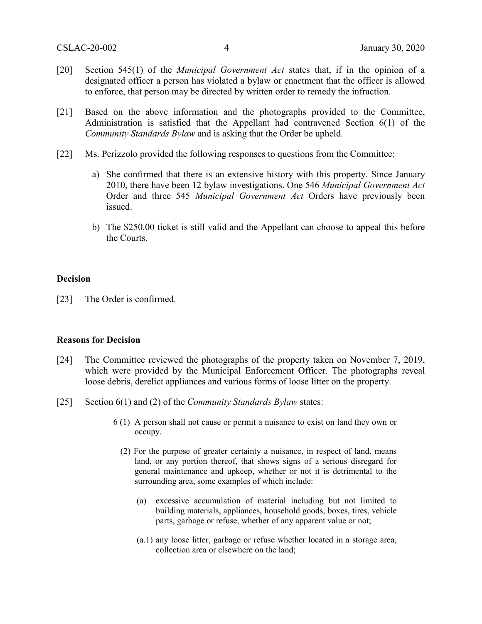- [20] Section 545(1) of the *Municipal Government Act* states that, if in the opinion of a designated officer a person has violated a bylaw or enactment that the officer is allowed to enforce, that person may be directed by written order to remedy the infraction.
- [21] Based on the above information and the photographs provided to the Committee, Administration is satisfied that the Appellant had contravened Section 6(1) of the *Community Standards Bylaw* and is asking that the Order be upheld.
- [22] Ms. Perizzolo provided the following responses to questions from the Committee:
	- a) She confirmed that there is an extensive history with this property. Since January 2010, there have been 12 bylaw investigations. One 546 *Municipal Government Act* Order and three 545 *Municipal Government Act* Orders have previously been issued.
	- b) The \$250.00 ticket is still valid and the Appellant can choose to appeal this before the Courts.

#### **Decision**

[23] The Order is confirmed.

#### **Reasons for Decision**

- [24] The Committee reviewed the photographs of the property taken on November 7, 2019, which were provided by the Municipal Enforcement Officer. The photographs reveal loose debris, derelict appliances and various forms of loose litter on the property.
- [25] Section 6(1) and (2) of the *Community Standards Bylaw* states:
	- 6 (1) A person shall not cause or permit a nuisance to exist on land they own or occupy.
		- (2) For the purpose of greater certainty a nuisance, in respect of land, means land, or any portion thereof, that shows signs of a serious disregard for general maintenance and upkeep, whether or not it is detrimental to the surrounding area, some examples of which include:
			- (a) excessive accumulation of material including but not limited to building materials, appliances, household goods, boxes, tires, vehicle parts, garbage or refuse, whether of any apparent value or not;
			- (a.1) any loose litter, garbage or refuse whether located in a storage area, collection area or elsewhere on the land;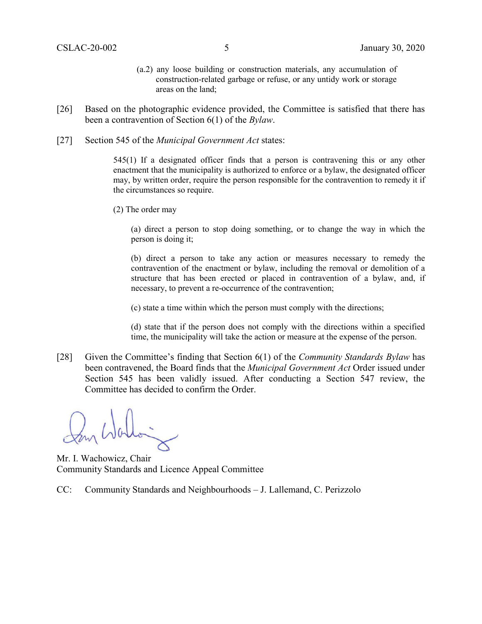- (a.2) any loose building or construction materials, any accumulation of construction-related garbage or refuse, or any untidy work or storage areas on the land;
- [26] Based on the photographic evidence provided, the Committee is satisfied that there has been a contravention of Section 6(1) of the *Bylaw*.
- [27] Section 545 of the *Municipal Government Act* states:

545(1) If a designated officer finds that a person is contravening this or any other enactment that the municipality is authorized to enforce or a bylaw, the designated officer may, by written order, require the person responsible for the contravention to remedy it if the circumstances so require.

(2) The order may

(a) direct a person to stop doing something, or to change the way in which the person is doing it;

(b) direct a person to take any action or measures necessary to remedy the contravention of the enactment or bylaw, including the removal or demolition of a structure that has been erected or placed in contravention of a bylaw, and, if necessary, to prevent a re-occurrence of the contravention;

(c) state a time within which the person must comply with the directions;

(d) state that if the person does not comply with the directions within a specified time, the municipality will take the action or measure at the expense of the person.

[28] Given the Committee's finding that Section 6(1) of the *Community Standards Bylaw* has been contravened, the Board finds that the *Municipal Government Act* Order issued under Section 545 has been validly issued. After conducting a Section 547 review, the Committee has decided to confirm the Order.

Mr. I. Wachowicz, Chair Community Standards and Licence Appeal Committee

CC: Community Standards and Neighbourhoods – J. Lallemand, C. Perizzolo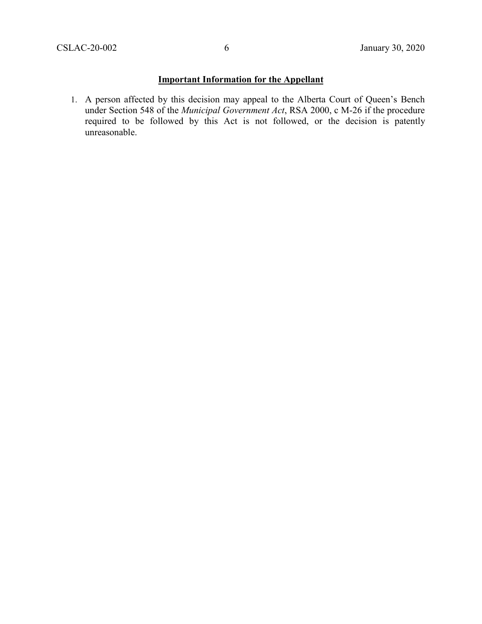## **Important Information for the Appellant**

1. A person affected by this decision may appeal to the Alberta Court of Queen's Bench under Section 548 of the *Municipal Government Act*, RSA 2000, c M-26 if the procedure required to be followed by this Act is not followed, or the decision is patently unreasonable.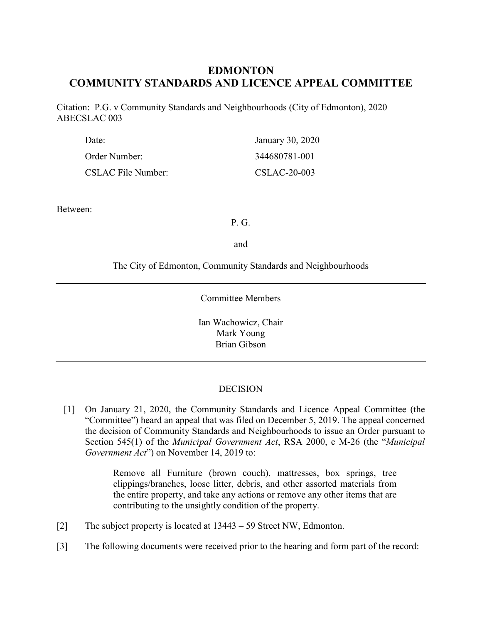# **EDMONTON COMMUNITY STANDARDS AND LICENCE APPEAL COMMITTEE**

Citation: P.G. v Community Standards and Neighbourhoods (City of Edmonton), 2020 ABECSLAC 003

| Date:              | January 30, 2020 |
|--------------------|------------------|
| Order Number:      | 344680781-001    |
| CSLAC File Number: | $CSLAC-20-003$   |

Between:

P. G.

and

The City of Edmonton, Community Standards and Neighbourhoods

#### Committee Members

Ian Wachowicz, Chair Mark Young Brian Gibson

## **DECISION**

[1] On January 21, 2020, the Community Standards and Licence Appeal Committee (the "Committee") heard an appeal that was filed on December 5, 2019. The appeal concerned the decision of Community Standards and Neighbourhoods to issue an Order pursuant to Section 545(1) of the *Municipal Government Act*, RSA 2000, c M-26 (the "*Municipal Government Act*") on November 14, 2019 to:

> Remove all Furniture (brown couch), mattresses, box springs, tree clippings/branches, loose litter, debris, and other assorted materials from the entire property, and take any actions or remove any other items that are contributing to the unsightly condition of the property.

- [2] The subject property is located at 13443 59 Street NW, Edmonton.
- [3] The following documents were received prior to the hearing and form part of the record: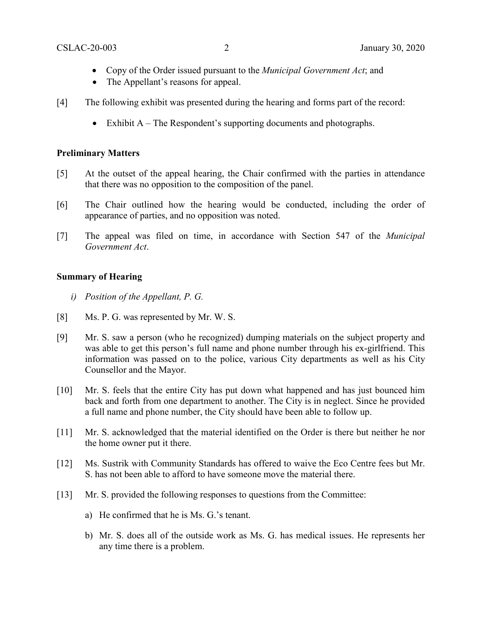- Copy of the Order issued pursuant to the *Municipal Government Act*; and
- The Appellant's reasons for appeal.
- [4] The following exhibit was presented during the hearing and forms part of the record:
	- Exhibit A The Respondent's supporting documents and photographs.

## **Preliminary Matters**

- [5] At the outset of the appeal hearing, the Chair confirmed with the parties in attendance that there was no opposition to the composition of the panel.
- [6] The Chair outlined how the hearing would be conducted, including the order of appearance of parties, and no opposition was noted.
- [7] The appeal was filed on time, in accordance with Section 547 of the *Municipal Government Act*.

## **Summary of Hearing**

- *i) Position of the Appellant, P. G.*
- [8] Ms. P. G. was represented by Mr. W. S.
- [9] Mr. S. saw a person (who he recognized) dumping materials on the subject property and was able to get this person's full name and phone number through his ex-girlfriend. This information was passed on to the police, various City departments as well as his City Counsellor and the Mayor.
- [10] Mr. S. feels that the entire City has put down what happened and has just bounced him back and forth from one department to another. The City is in neglect. Since he provided a full name and phone number, the City should have been able to follow up.
- [11] Mr. S. acknowledged that the material identified on the Order is there but neither he nor the home owner put it there.
- [12] Ms. Sustrik with Community Standards has offered to waive the Eco Centre fees but Mr. S. has not been able to afford to have someone move the material there.
- [13] Mr. S. provided the following responses to questions from the Committee:
	- a) He confirmed that he is Ms. G.'s tenant.
	- b) Mr. S. does all of the outside work as Ms. G. has medical issues. He represents her any time there is a problem.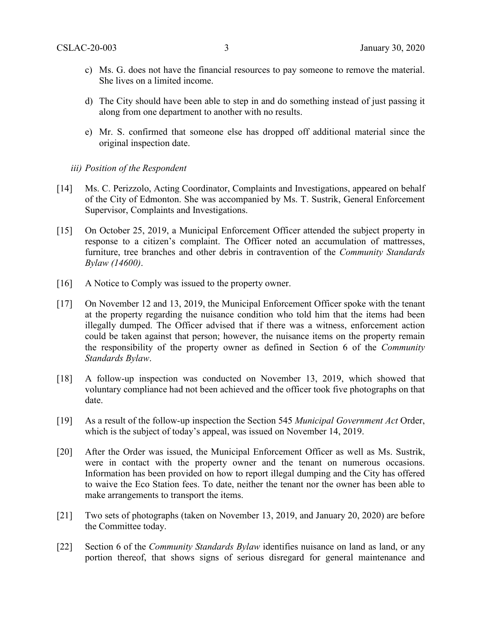- c) Ms. G. does not have the financial resources to pay someone to remove the material. She lives on a limited income.
- d) The City should have been able to step in and do something instead of just passing it along from one department to another with no results.
- e) Mr. S. confirmed that someone else has dropped off additional material since the original inspection date.
- *iii) Position of the Respondent*
- [14] Ms. C. Perizzolo, Acting Coordinator, Complaints and Investigations, appeared on behalf of the City of Edmonton. She was accompanied by Ms. T. Sustrik, General Enforcement Supervisor, Complaints and Investigations.
- [15] On October 25, 2019, a Municipal Enforcement Officer attended the subject property in response to a citizen's complaint. The Officer noted an accumulation of mattresses, furniture, tree branches and other debris in contravention of the *Community Standards Bylaw (14600)*.
- [16] A Notice to Comply was issued to the property owner.
- [17] On November 12 and 13, 2019, the Municipal Enforcement Officer spoke with the tenant at the property regarding the nuisance condition who told him that the items had been illegally dumped. The Officer advised that if there was a witness, enforcement action could be taken against that person; however, the nuisance items on the property remain the responsibility of the property owner as defined in Section 6 of the *Community Standards Bylaw*.
- [18] A follow-up inspection was conducted on November 13, 2019, which showed that voluntary compliance had not been achieved and the officer took five photographs on that date.
- [19] As a result of the follow-up inspection the Section 545 *Municipal Government Act* Order, which is the subject of today's appeal, was issued on November 14, 2019.
- [20] After the Order was issued, the Municipal Enforcement Officer as well as Ms. Sustrik, were in contact with the property owner and the tenant on numerous occasions. Information has been provided on how to report illegal dumping and the City has offered to waive the Eco Station fees. To date, neither the tenant nor the owner has been able to make arrangements to transport the items.
- [21] Two sets of photographs (taken on November 13, 2019, and January 20, 2020) are before the Committee today.
- [22] Section 6 of the *Community Standards Bylaw* identifies nuisance on land as land, or any portion thereof, that shows signs of serious disregard for general maintenance and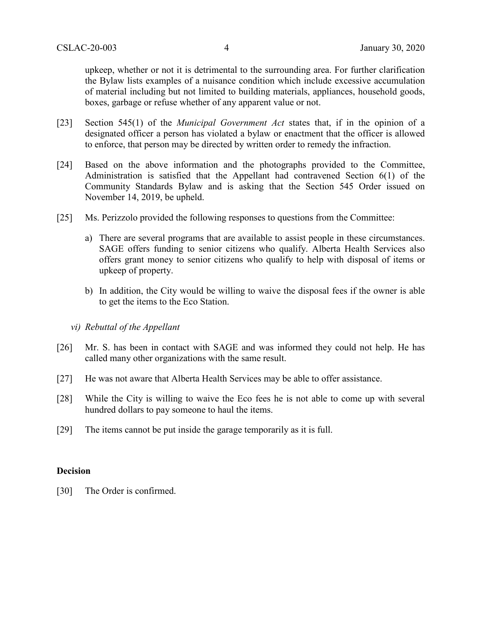upkeep, whether or not it is detrimental to the surrounding area. For further clarification the Bylaw lists examples of a nuisance condition which include excessive accumulation of material including but not limited to building materials, appliances, household goods, boxes, garbage or refuse whether of any apparent value or not.

- [23] Section 545(1) of the *Municipal Government Act* states that, if in the opinion of a designated officer a person has violated a bylaw or enactment that the officer is allowed to enforce, that person may be directed by written order to remedy the infraction.
- [24] Based on the above information and the photographs provided to the Committee, Administration is satisfied that the Appellant had contravened Section 6(1) of the Community Standards Bylaw and is asking that the Section 545 Order issued on November 14, 2019, be upheld.
- [25] Ms. Perizzolo provided the following responses to questions from the Committee:
	- a) There are several programs that are available to assist people in these circumstances. SAGE offers funding to senior citizens who qualify. Alberta Health Services also offers grant money to senior citizens who qualify to help with disposal of items or upkeep of property.
	- b) In addition, the City would be willing to waive the disposal fees if the owner is able to get the items to the Eco Station.
	- *vi) Rebuttal of the Appellant*
- [26] Mr. S. has been in contact with SAGE and was informed they could not help. He has called many other organizations with the same result.
- [27] He was not aware that Alberta Health Services may be able to offer assistance.
- [28] While the City is willing to waive the Eco fees he is not able to come up with several hundred dollars to pay someone to haul the items.
- [29] The items cannot be put inside the garage temporarily as it is full.

#### **Decision**

[30] The Order is confirmed.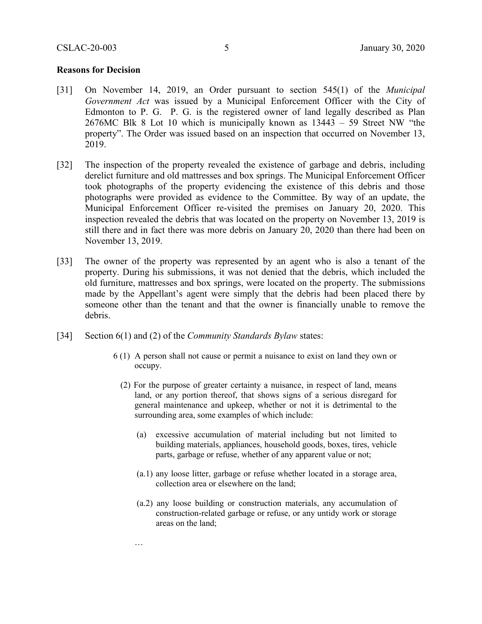#### **Reasons for Decision**

- [31] On November 14, 2019, an Order pursuant to section 545(1) of the *Municipal Government Act* was issued by a Municipal Enforcement Officer with the City of Edmonton to P. G. P. G. is the registered owner of land legally described as Plan 2676MC Blk 8 Lot 10 which is municipally known as 13443 – 59 Street NW "the property". The Order was issued based on an inspection that occurred on November 13, 2019.
- [32] The inspection of the property revealed the existence of garbage and debris, including derelict furniture and old mattresses and box springs. The Municipal Enforcement Officer took photographs of the property evidencing the existence of this debris and those photographs were provided as evidence to the Committee. By way of an update, the Municipal Enforcement Officer re-visited the premises on January 20, 2020. This inspection revealed the debris that was located on the property on November 13, 2019 is still there and in fact there was more debris on January 20, 2020 than there had been on November 13, 2019.
- [33] The owner of the property was represented by an agent who is also a tenant of the property. During his submissions, it was not denied that the debris, which included the old furniture, mattresses and box springs, were located on the property. The submissions made by the Appellant's agent were simply that the debris had been placed there by someone other than the tenant and that the owner is financially unable to remove the debris.
- [34] Section 6(1) and (2) of the *Community Standards Bylaw* states:

…

- 6 (1) A person shall not cause or permit a nuisance to exist on land they own or occupy.
	- (2) For the purpose of greater certainty a nuisance, in respect of land, means land, or any portion thereof, that shows signs of a serious disregard for general maintenance and upkeep, whether or not it is detrimental to the surrounding area, some examples of which include:
		- (a) excessive accumulation of material including but not limited to building materials, appliances, household goods, boxes, tires, vehicle parts, garbage or refuse, whether of any apparent value or not;
		- (a.1) any loose litter, garbage or refuse whether located in a storage area, collection area or elsewhere on the land;
		- (a.2) any loose building or construction materials, any accumulation of construction-related garbage or refuse, or any untidy work or storage areas on the land;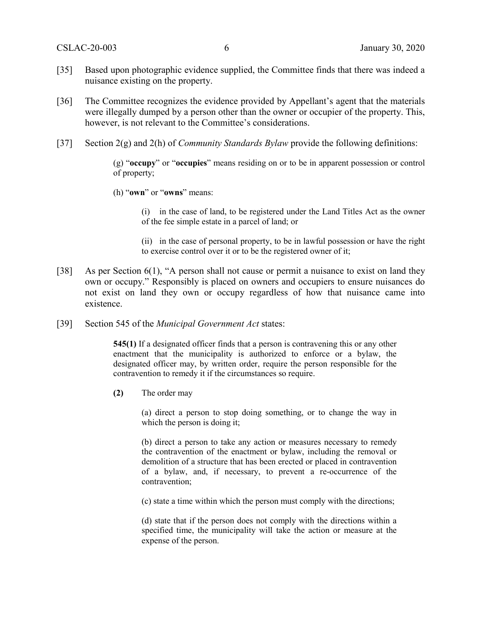- [35] Based upon photographic evidence supplied, the Committee finds that there was indeed a nuisance existing on the property.
- [36] The Committee recognizes the evidence provided by Appellant's agent that the materials were illegally dumped by a person other than the owner or occupier of the property. This, however, is not relevant to the Committee's considerations.
- [37] Section 2(g) and 2(h) of *Community Standards Bylaw* provide the following definitions:

(g) "**occupy**" or "**occupies**" means residing on or to be in apparent possession or control of property;

(h) "**own**" or "**owns**" means:

(i) in the case of land, to be registered under the Land Titles Act as the owner of the fee simple estate in a parcel of land; or

(ii) in the case of personal property, to be in lawful possession or have the right to exercise control over it or to be the registered owner of it;

- [38] As per Section 6(1), "A person shall not cause or permit a nuisance to exist on land they own or occupy." Responsibly is placed on owners and occupiers to ensure nuisances do not exist on land they own or occupy regardless of how that nuisance came into existence.
- [39] Section 545 of the *Municipal Government Act* states:

**545(1)** If a designated officer finds that a person is contravening this or any other enactment that the municipality is authorized to enforce or a bylaw, the designated officer may, by written order, require the person responsible for the contravention to remedy it if the circumstances so require.

**(2)** The order may

(a) direct a person to stop doing something, or to change the way in which the person is doing it;

(b) direct a person to take any action or measures necessary to remedy the contravention of the enactment or bylaw, including the removal or demolition of a structure that has been erected or placed in contravention of a bylaw, and, if necessary, to prevent a re-occurrence of the contravention;

(c) state a time within which the person must comply with the directions;

(d) state that if the person does not comply with the directions within a specified time, the municipality will take the action or measure at the expense of the person.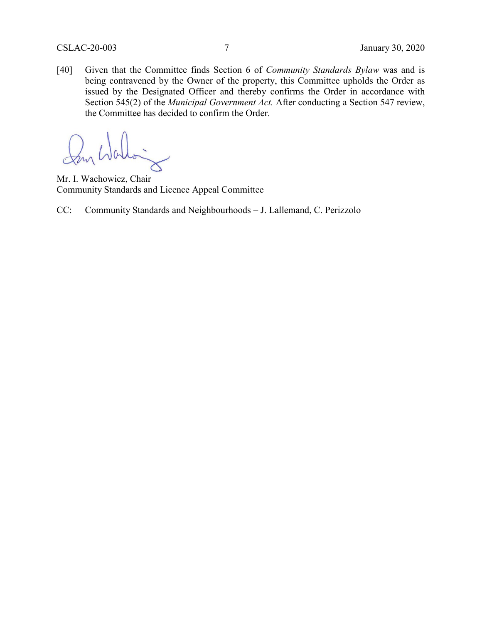[40] Given that the Committee finds Section 6 of *Community Standards Bylaw* was and is being contravened by the Owner of the property, this Committee upholds the Order as issued by the Designated Officer and thereby confirms the Order in accordance with Section 545(2) of the *Municipal Government Act.* After conducting a Section 547 review, the Committee has decided to confirm the Order.

Mr. I. Wachowicz, Chair Community Standards and Licence Appeal Committee

CC: Community Standards and Neighbourhoods – J. Lallemand, C. Perizzolo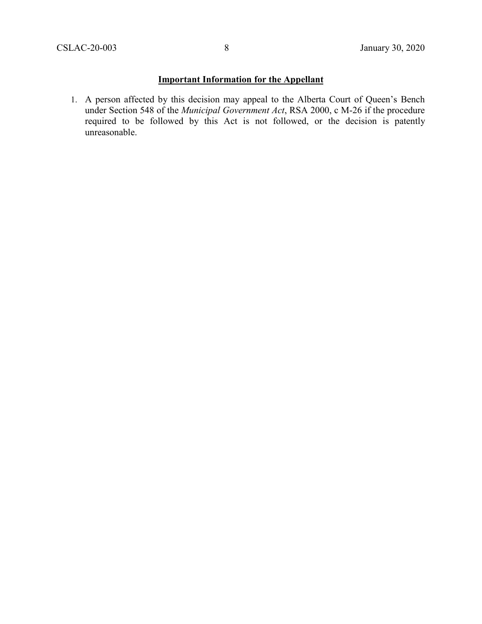## **Important Information for the Appellant**

1. A person affected by this decision may appeal to the Alberta Court of Queen's Bench under Section 548 of the *Municipal Government Act*, RSA 2000, c M-26 if the procedure required to be followed by this Act is not followed, or the decision is patently unreasonable.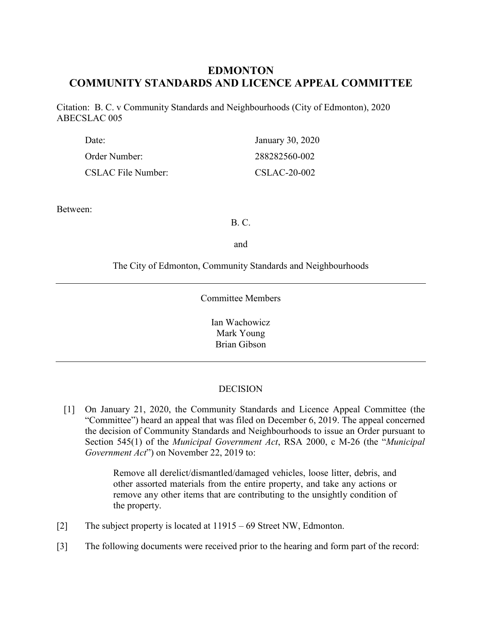# **EDMONTON COMMUNITY STANDARDS AND LICENCE APPEAL COMMITTEE**

Citation: B. C. v Community Standards and Neighbourhoods (City of Edmonton), 2020 ABECSLAC 005

| Date:              | January 30, 2020 |
|--------------------|------------------|
| Order Number:      | 288282560-002    |
| CSLAC File Number: | CSLAC-20-002     |

Between:

B. C.

and

The City of Edmonton, Community Standards and Neighbourhoods

#### Committee Members

Ian Wachowicz Mark Young Brian Gibson

## **DECISION**

[1] On January 21, 2020, the Community Standards and Licence Appeal Committee (the "Committee") heard an appeal that was filed on December 6, 2019. The appeal concerned the decision of Community Standards and Neighbourhoods to issue an Order pursuant to Section 545(1) of the *Municipal Government Act*, RSA 2000, c M-26 (the "*Municipal Government Act*") on November 22, 2019 to:

> Remove all derelict/dismantled/damaged vehicles, loose litter, debris, and other assorted materials from the entire property, and take any actions or remove any other items that are contributing to the unsightly condition of the property.

- [2] The subject property is located at 11915 69 Street NW, Edmonton.
- [3] The following documents were received prior to the hearing and form part of the record: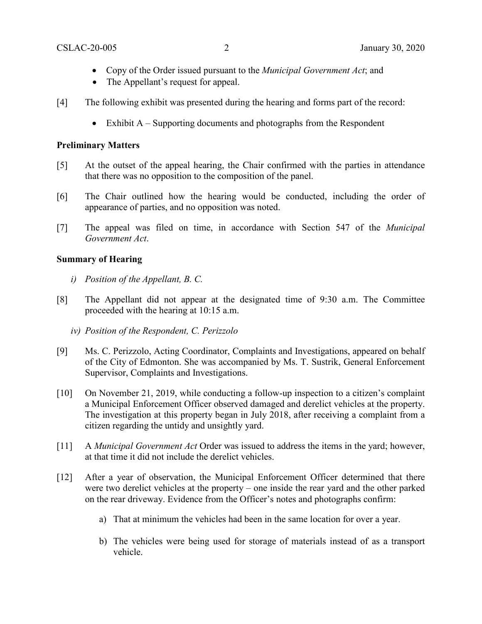- Copy of the Order issued pursuant to the *Municipal Government Act*; and
- The Appellant's request for appeal.
- [4] The following exhibit was presented during the hearing and forms part of the record:
	- Exhibit A Supporting documents and photographs from the Respondent

#### **Preliminary Matters**

- [5] At the outset of the appeal hearing, the Chair confirmed with the parties in attendance that there was no opposition to the composition of the panel.
- [6] The Chair outlined how the hearing would be conducted, including the order of appearance of parties, and no opposition was noted.
- [7] The appeal was filed on time, in accordance with Section 547 of the *Municipal Government Act*.

## **Summary of Hearing**

- *i) Position of the Appellant, B. C.*
- [8] The Appellant did not appear at the designated time of 9:30 a.m. The Committee proceeded with the hearing at 10:15 a.m.
	- *iv) Position of the Respondent, C. Perizzolo*
- [9] Ms. C. Perizzolo, Acting Coordinator, Complaints and Investigations, appeared on behalf of the City of Edmonton. She was accompanied by Ms. T. Sustrik, General Enforcement Supervisor, Complaints and Investigations.
- [10] On November 21, 2019, while conducting a follow-up inspection to a citizen's complaint a Municipal Enforcement Officer observed damaged and derelict vehicles at the property. The investigation at this property began in July 2018, after receiving a complaint from a citizen regarding the untidy and unsightly yard.
- [11] A *Municipal Government Act* Order was issued to address the items in the yard; however, at that time it did not include the derelict vehicles.
- [12] After a year of observation, the Municipal Enforcement Officer determined that there were two derelict vehicles at the property – one inside the rear yard and the other parked on the rear driveway. Evidence from the Officer's notes and photographs confirm:
	- a) That at minimum the vehicles had been in the same location for over a year.
	- b) The vehicles were being used for storage of materials instead of as a transport vehicle.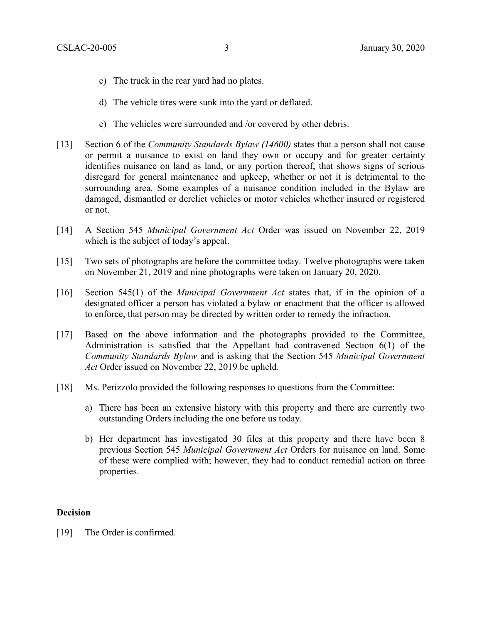- c) The truck in the rear yard had no plates.
- d) The vehicle tires were sunk into the yard or deflated.
- e) The vehicles were surrounded and /or covered by other debris.
- [13] Section 6 of the *Community Standards Bylaw (14600)* states that a person shall not cause or permit a nuisance to exist on land they own or occupy and for greater certainty identifies nuisance on land as land, or any portion thereof, that shows signs of serious disregard for general maintenance and upkeep, whether or not it is detrimental to the surrounding area. Some examples of a nuisance condition included in the Bylaw are damaged, dismantled or derelict vehicles or motor vehicles whether insured or registered or not.
- [14] A Section 545 *Municipal Government Act* Order was issued on November 22, 2019 which is the subject of today's appeal.
- [15] Two sets of photographs are before the committee today. Twelve photographs were taken on November 21, 2019 and nine photographs were taken on January 20, 2020.
- [16] Section 545(1) of the *Municipal Government Act* states that, if in the opinion of a designated officer a person has violated a bylaw or enactment that the officer is allowed to enforce, that person may be directed by written order to remedy the infraction.
- [17] Based on the above information and the photographs provided to the Committee, Administration is satisfied that the Appellant had contravened Section 6(1) of the *Community Standards Bylaw* and is asking that the Section 545 *Municipal Government Act* Order issued on November 22, 2019 be upheld.
- [18] Ms. Perizzolo provided the following responses to questions from the Committee:
	- a) There has been an extensive history with this property and there are currently two outstanding Orders including the one before us today.
	- b) Her department has investigated 30 files at this property and there have been 8 previous Section 545 *Municipal Government Act* Orders for nuisance on land. Some of these were complied with; however, they had to conduct remedial action on three properties.

#### **Decision**

[19] The Order is confirmed.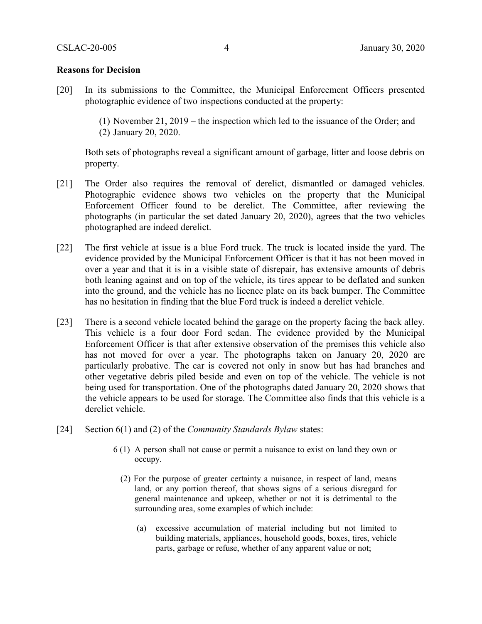#### **Reasons for Decision**

[20] In its submissions to the Committee, the Municipal Enforcement Officers presented photographic evidence of two inspections conducted at the property:

> (1) November 21, 2019 – the inspection which led to the issuance of the Order; and (2) January 20, 2020.

Both sets of photographs reveal a significant amount of garbage, litter and loose debris on property.

- [21] The Order also requires the removal of derelict, dismantled or damaged vehicles. Photographic evidence shows two vehicles on the property that the Municipal Enforcement Officer found to be derelict. The Committee, after reviewing the photographs (in particular the set dated January 20, 2020), agrees that the two vehicles photographed are indeed derelict.
- [22] The first vehicle at issue is a blue Ford truck. The truck is located inside the yard. The evidence provided by the Municipal Enforcement Officer is that it has not been moved in over a year and that it is in a visible state of disrepair, has extensive amounts of debris both leaning against and on top of the vehicle, its tires appear to be deflated and sunken into the ground, and the vehicle has no licence plate on its back bumper. The Committee has no hesitation in finding that the blue Ford truck is indeed a derelict vehicle.
- [23] There is a second vehicle located behind the garage on the property facing the back alley. This vehicle is a four door Ford sedan. The evidence provided by the Municipal Enforcement Officer is that after extensive observation of the premises this vehicle also has not moved for over a year. The photographs taken on January 20, 2020 are particularly probative. The car is covered not only in snow but has had branches and other vegetative debris piled beside and even on top of the vehicle. The vehicle is not being used for transportation. One of the photographs dated January 20, 2020 shows that the vehicle appears to be used for storage. The Committee also finds that this vehicle is a derelict vehicle.
- [24] Section 6(1) and (2) of the *Community Standards Bylaw* states:
	- 6 (1) A person shall not cause or permit a nuisance to exist on land they own or occupy.
		- (2) For the purpose of greater certainty a nuisance, in respect of land, means land, or any portion thereof, that shows signs of a serious disregard for general maintenance and upkeep, whether or not it is detrimental to the surrounding area, some examples of which include:
			- (a) excessive accumulation of material including but not limited to building materials, appliances, household goods, boxes, tires, vehicle parts, garbage or refuse, whether of any apparent value or not;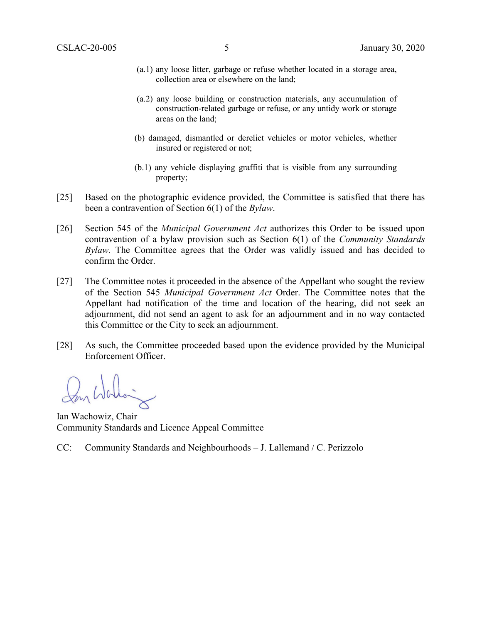- (a.1) any loose litter, garbage or refuse whether located in a storage area, collection area or elsewhere on the land;
- (a.2) any loose building or construction materials, any accumulation of construction-related garbage or refuse, or any untidy work or storage areas on the land;
- (b) damaged, dismantled or derelict vehicles or motor vehicles, whether insured or registered or not;
- (b.1) any vehicle displaying graffiti that is visible from any surrounding property;
- [25] Based on the photographic evidence provided, the Committee is satisfied that there has been a contravention of Section 6(1) of the *Bylaw*.
- [26] Section 545 of the *Municipal Government Act* authorizes this Order to be issued upon contravention of a bylaw provision such as Section 6(1) of the *Community Standards Bylaw.* The Committee agrees that the Order was validly issued and has decided to confirm the Order.
- [27] The Committee notes it proceeded in the absence of the Appellant who sought the review of the Section 545 *Municipal Government Act* Order. The Committee notes that the Appellant had notification of the time and location of the hearing, did not seek an adjournment, did not send an agent to ask for an adjournment and in no way contacted this Committee or the City to seek an adjournment.
- [28] As such, the Committee proceeded based upon the evidence provided by the Municipal Enforcement Officer.

Ian Wachowiz, Chair Community Standards and Licence Appeal Committee

CC: Community Standards and Neighbourhoods – J. Lallemand / C. Perizzolo